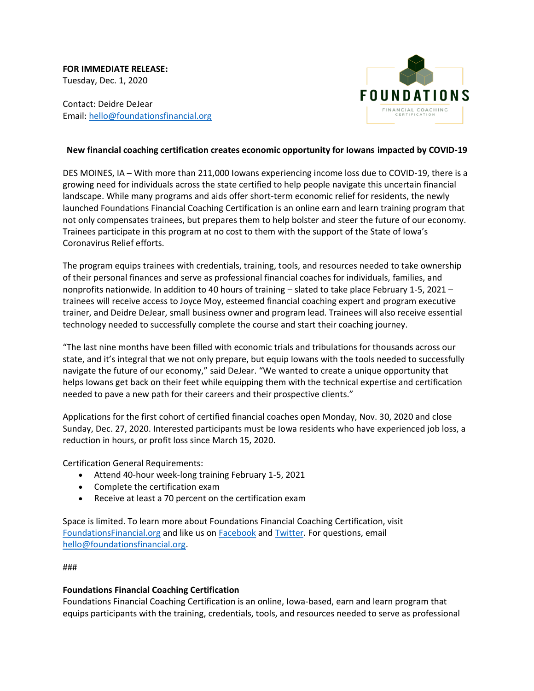**FOR IMMEDIATE RELEASE:** Tuesday, Dec. 1, 2020

Contact: Deidre DeJear Email: [hello@foundationsfinancial.org](http://hello@foundationsfinancial.org/)



# **New financial coaching certification creates economic opportunity for Iowans impacted by COVID-19**

DES MOINES, IA – With more than 211,000 Iowans experiencing income loss due to COVID-19, there is a growing need for individuals across the state certified to help people navigate this uncertain financial landscape. While many programs and aids offer short-term economic relief for residents, the newly launched Foundations Financial Coaching Certification is an online earn and learn training program that not only compensates trainees, but prepares them to help bolster and steer the future of our economy. Trainees participate in this program at no cost to them with the support of the State of Iowa's Coronavirus Relief efforts.

The program equips trainees with credentials, training, tools, and resources needed to take ownership of their personal finances and serve as professional financial coaches for individuals, families, and nonprofits nationwide. In addition to 40 hours of training – slated to take place February 1-5, 2021 – trainees will receive access to Joyce Moy, esteemed financial coaching expert and program executive trainer, and Deidre DeJear, small business owner and program lead. Trainees will also receive essential technology needed to successfully complete the course and start their coaching journey.

"The last nine months have been filled with economic trials and tribulations for thousands across our state, and it's integral that we not only prepare, but equip Iowans with the tools needed to successfully navigate the future of our economy," said DeJear. "We wanted to create a unique opportunity that helps Iowans get back on their feet while equipping them with the technical expertise and certification needed to pave a new path for their careers and their prospective clients."

Applications for the first cohort of certified financial coaches open Monday, Nov. 30, 2020 and close Sunday, Dec. 27, 2020. Interested participants must be Iowa residents who have experienced job loss, a reduction in hours, or profit loss since March 15, 2020.

Certification General Requirements:

- Attend 40-hour week-long training February 1-5, 2021
- Complete the certification exam
- Receive at least a 70 percent on the certification exam

Space is limited. To learn more about Foundations Financial Coaching Certification, visit [FoundationsFinancial.org](https://www.foundationsfinancial.org/) and like us on [Facebook](https://www.facebook.com/FoundationsFinancial) and [Twitter.](https://twitter.com/FoundationsFin) For questions, email [hello@foundationsfinancial.org.](http://hello@foundationsfinancial.org/)

#### ###

# **Foundations Financial Coaching Certification**

Foundations Financial Coaching Certification is an online, Iowa-based, earn and learn program that equips participants with the training, credentials, tools, and resources needed to serve as professional